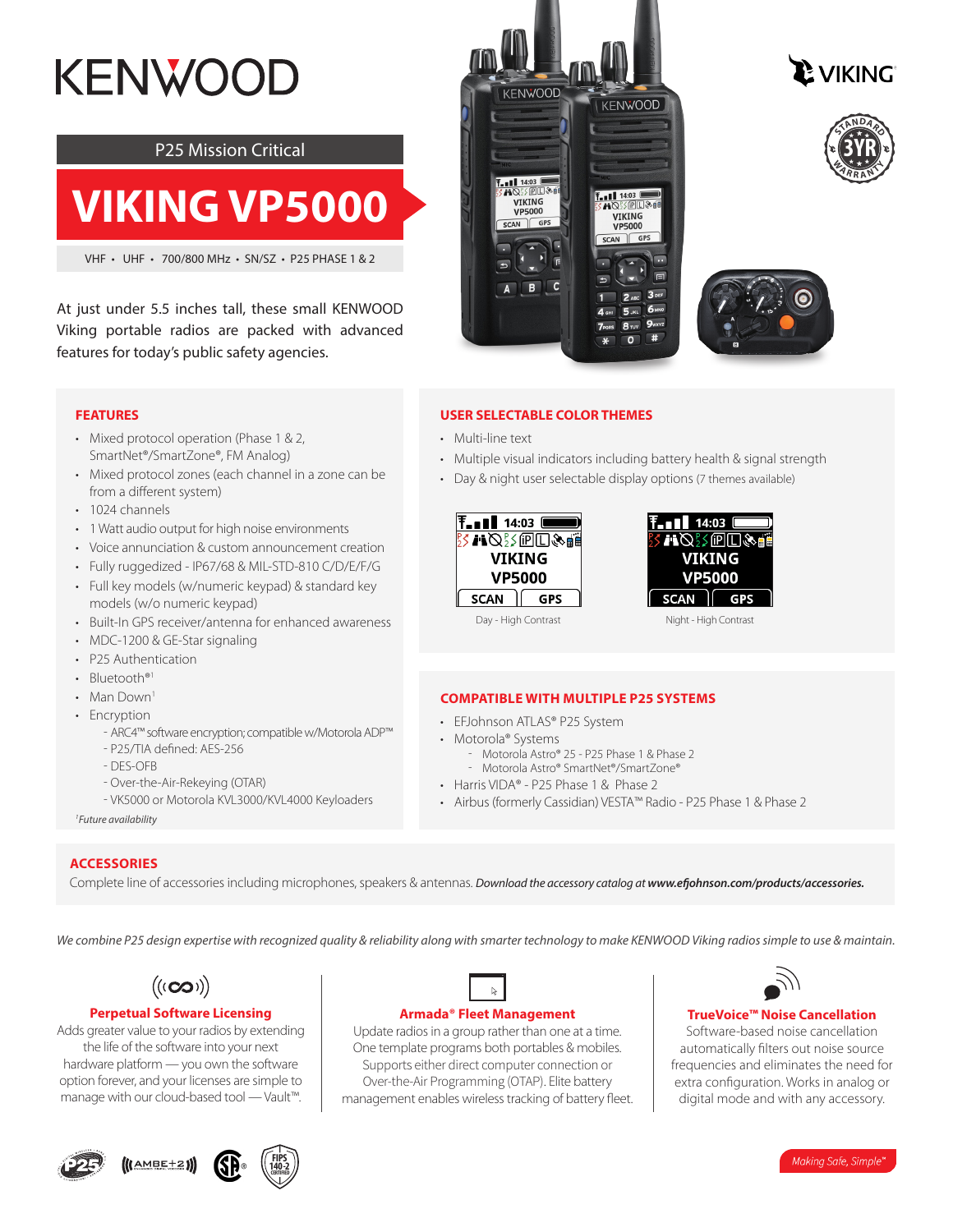# **KENWOOD**

### P25 Mission Critical

## **VIKING VP5000**

VHF • UHF • 700/800 MHz • SN/SZ • P25 PHASE 1 & 2

At just under 5.5 inches tall, these small KENWOOD Viking portable radios are packed with advanced features for today's public safety agencies.









#### **USER SELECTABLE COLOR THEMES**

- Multi-line text
- Multiple visual indicators including battery health & signal strength
- Day & night user selectable display options (7 themes available)





Day - High Contrast Night - High Contrast

#### **COMPATIBLE WITH MULTIPLE P25 SYSTEMS**

- EFJohnson ATLAS® P25 System
- Motorola® Systems
	- Motorola Astro® 25 P25 Phase 1 & Phase 2 - Motorola Astro® SmartNet®/SmartZone®
- Harris VIDA® P25 Phase 1 & Phase 2
- Airbus (formerly Cassidian) VESTA™ Radio P25 Phase 1 & Phase 2

#### **FEATURES**

- Mixed protocol operation (Phase 1 & 2, SmartNet®/SmartZone®, FM Analog)
- Mixed protocol zones (each channel in a zone can be from a different system)
- 1024 channels
- 1 Watt audio output for high noise environments
- Voice annunciation & custom announcement creation
- Fully ruggedized IP67/68 & MIL-STD-810 C/D/E/F/G
- Full key models (w/numeric keypad) & standard key models (w/o numeric keypad)
- Built-In GPS receiver/antenna for enhanced awareness
- MDC-1200 & GE-Star signaling
- P25 Authentication
- Bluetooth<sup>®1</sup>
- Man Down<sup>1</sup>
- Fncryption
	- ʰ ARC4™ software encryption; compatible w/Motorola ADP™
	- P25/TIA defined: AES-256
	- DES-OFB
	- Over-the-Air-Rekeying (OTAR)
	- VK5000 or Motorola KVL3000/KVL4000 Keyloaders

*1 Future availability*

#### **ACCESSORIES**

Complete line of accessories including microphones, speakers & antennas. *Download the accessory catalog at www.efjohnson.com/products/accessories.*

*We combine P25 design expertise with recognized quality & reliability along with smarter technology to make KENWOOD Viking radios simple to use & maintain.*



#### **Perpetual Software Licensing**

Adds greater value to your radios by extending the life of the software into your next hardware platform — you own the software option forever, and your licenses are simple to manage with our cloud-based tool — Vault™.





#### **Armada® Fleet Management**

Update radios in a group rather than one at a time. One template programs both portables & mobiles. Supports either direct computer connection or Over-the-Air Programming (OTAP). Elite battery management enables wireless tracking of battery fleet.



#### **TrueVoice™ Noise Cancellation**

Software-based noise cancellation automatically filters out noise source frequencies and eliminates the need for extra configuration. Works in analog or digital mode and with any accessory.